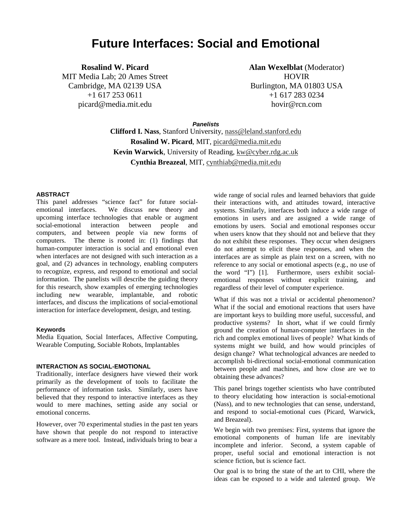# **Future Interfaces: Social and Emotional**

**Rosalind W. Picard**

MIT Media Lab; 20 Ames Street Cambridge, MA 02139 USA +1 617 253 0611 picard@media.mit.edu

**Alan Wexelblat** (Moderator) HOVIR Burlington, MA 01803 USA +1 617 283 0234 hovir@rcn.com

**Panelists**

**Clifford I. Nass**, Stanford University, nass@leland.stanford.edu **Rosalind W. Picard**, MIT, picard@media.mit.edu **Kevin Warwick**, University of Reading, kw@cyber.rdg.ac.uk **Cynthia Breazeal**, MIT, cynthiab@media.mit.edu

#### **ABSTRACT**

This panel addresses "science fact" for future socialemotional interfaces. We discuss new theory and upcoming interface technologies that enable or augment social-emotional interaction between people and computers, and between people via new forms of computers. The theme is rooted in: (1) findings that human-computer interaction is social and emotional even when interfaces are not designed with such interaction as a goal, and (2) advances in technology, enabling computers to recognize, express, and respond to emotional and social information. The panelists will describe the guiding theory for this research, show examples of emerging technologies including new wearable, implantable, and robotic interfaces, and discuss the implications of social-emotional interaction for interface development, design, and testing.

#### **Keywords**

Media Equation, Social Interfaces, Affective Computing, Wearable Computing, Sociable Robots, Implantables

### **INTERACTION AS SOCIAL-EMOTIONAL**

Traditionally, interface designers have viewed their work primarily as the development of tools to facilitate the performance of information tasks. Similarly, users have believed that they respond to interactive interfaces as they would to mere machines, setting aside any social or emotional concerns.

However, over 70 experimental studies in the past ten years have shown that people do not respond to interactive software as a mere tool. Instead, individuals bring to bear a

wide range of social rules and learned behaviors that guide their interactions with, and attitudes toward, interactive systems. Similarly, interfaces both induce a wide range of emotions in users and are assigned a wide range of emotions by users. Social and emotional responses occur when users know that they should not and believe that they do not exhibit these responses. They occur when designers do not attempt to elicit these responses, and when the interfaces are as simple as plain text on a screen, with no reference to any social or emotional aspects (e.g., no use of the word "I") [1]. Furthermore, users exhibit socialemotional responses without explicit training, and regardless of their level of computer experience.

What if this was not a trivial or accidental phenomenon? What if the social and emotional reactions that users have are important keys to building more useful, successful, and productive systems? In short, what if we could firmly ground the creation of human-computer interfaces in the rich and complex emotional lives of people? What kinds of systems might we build, and how would principles of design change? What technological advances are needed to accomplish bi-directional social-emotional communication between people and machines, and how close are we to obtaining these advances?

This panel brings together scientists who have contributed to theory elucidating how interaction is social-emotional (Nass), and to new technologies that can sense, understand, and respond to social-emotional cues (Picard, Warwick, and Breazeal).

We begin with two premises: First, systems that ignore the emotional components of human life are inevitably incomplete and inferior. Second, a system capable of proper, useful social and emotional interaction is not science fiction, but is science fact.

Our goal is to bring the state of the art to CHI, where the ideas can be exposed to a wide and talented group. We